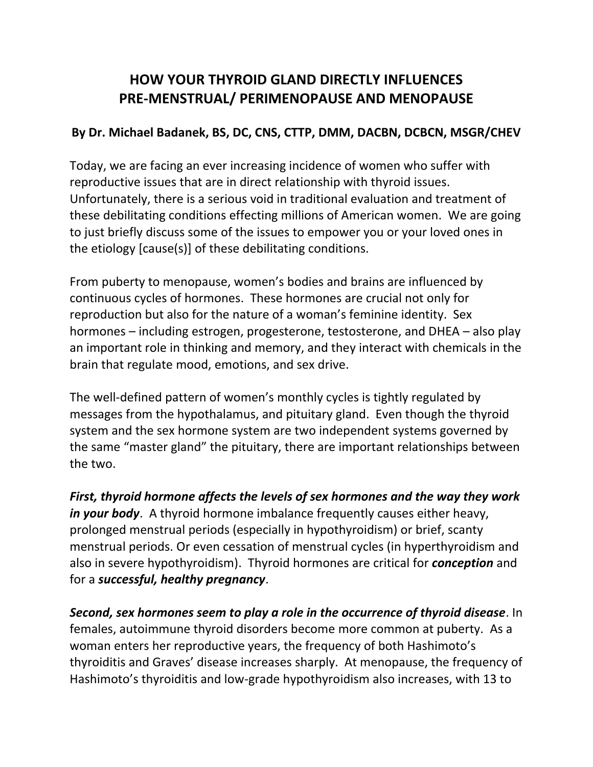## **HOW YOUR THYROID GLAND DIRECTLY INFLUENCES PRE-MENSTRUAL/ PERIMENOPAUSE AND MENOPAUSE**

## **By Dr. Michael Badanek, BS, DC, CNS, CTTP, DMM, DACBN, DCBCN, MSGR/CHEV**

Today, we are facing an ever increasing incidence of women who suffer with reproductive issues that are in direct relationship with thyroid issues. Unfortunately, there is a serious void in traditional evaluation and treatment of these debilitating conditions effecting millions of American women. We are going to just briefly discuss some of the issues to empower you or your loved ones in the etiology [cause(s)] of these debilitating conditions.

From puberty to menopause, women's bodies and brains are influenced by continuous cycles of hormones. These hormones are crucial not only for reproduction but also for the nature of a woman's feminine identity. Sex hormones – including estrogen, progesterone, testosterone, and DHEA – also play an important role in thinking and memory, and they interact with chemicals in the brain that regulate mood, emotions, and sex drive.

The well-defined pattern of women's monthly cycles is tightly regulated by messages from the hypothalamus, and pituitary gland. Even though the thyroid system and the sex hormone system are two independent systems governed by the same "master gland" the pituitary, there are important relationships between the two.

*First, thyroid hormone affects the levels of sex hormones and the way they work in your body*. A thyroid hormone imbalance frequently causes either heavy, prolonged menstrual periods (especially in hypothyroidism) or brief, scanty menstrual periods. Or even cessation of menstrual cycles (in hyperthyroidism and also in severe hypothyroidism). Thyroid hormones are critical for *conception* and for a *successful, healthy pregnancy*.

*Second, sex hormones seem to play a role in the occurrence of thyroid disease*. In females, autoimmune thyroid disorders become more common at puberty. As a woman enters her reproductive years, the frequency of both Hashimoto's thyroiditis and Graves' disease increases sharply. At menopause, the frequency of Hashimoto's thyroiditis and low-grade hypothyroidism also increases, with 13 to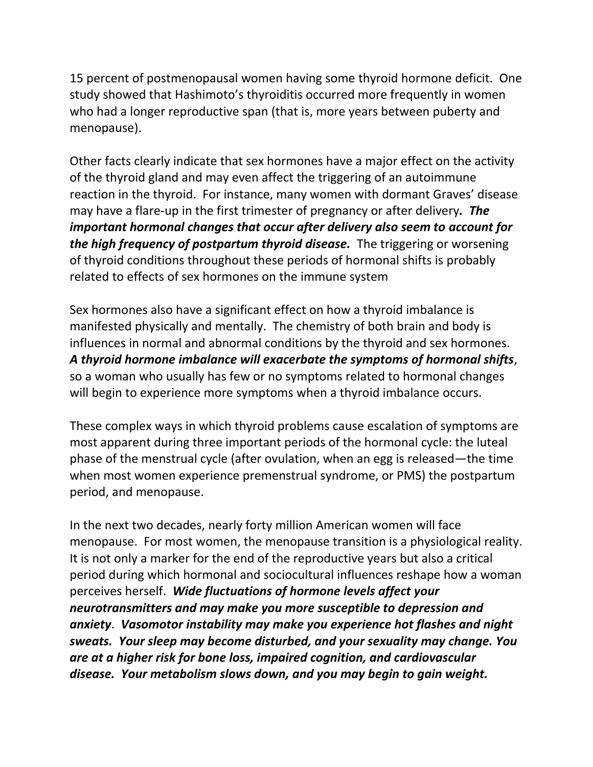15 percent of postmenopausal women having some thyroid hormone deficit. One study showed that Hashimoto's thyroiditis occurred more frequently in women who had a longer reproductive span (that is, more years between puberty and menopause).

Other facts clearly indicate that sex hormones have a major effect on the activity of the thyroid gland and may even affect the triggering of an autoimmune reaction in the thyroid. For instance, many women with dormant Graves' disease may have a flare-up in the first trimester of pregnancy or after delivery*. The important hormonal changes that occur after delivery also seem to account for the high frequency of postpartum thyroid disease.* The triggering or worsening of thyroid conditions throughout these periods of hormonal shifts is probably related to effects of sex hormones on the immune system

Sex hormones also have a significant effect on how a thyroid imbalance is manifested physically and mentally. The chemistry of both brain and body is influences in normal and abnormal conditions by the thyroid and sex hormones. *A thyroid hormone imbalance will exacerbate the symptoms of hormonal shifts*, so a woman who usually has few or no symptoms related to hormonal changes will begin to experience more symptoms when a thyroid imbalance occurs.

These complex ways in which thyroid problems cause escalation of symptoms are most apparent during three important periods of the hormonal cycle: the luteal phase of the menstrual cycle (after ovulation, when an egg is released—the time when most women experience premenstrual syndrome, or PMS) the postpartum period, and menopause.

In the next two decades, nearly forty million American women will face menopause. For most women, the menopause transition is a physiological reality. It is not only a marker for the end of the reproductive years but also a critical period during which hormonal and sociocultural influences reshape how a woman perceives herself. *Wide fluctuations of hormone levels affect your neurotransmitters and may make you more susceptible to depression and anxiety*. *Vasomotor instability may make you experience hot flashes and night sweats. Your sleep may become disturbed, and your sexuality may change. You are at a higher risk for bone loss, impaired cognition, and cardiovascular disease. Your metabolism slows down, and you may begin to gain weight.*